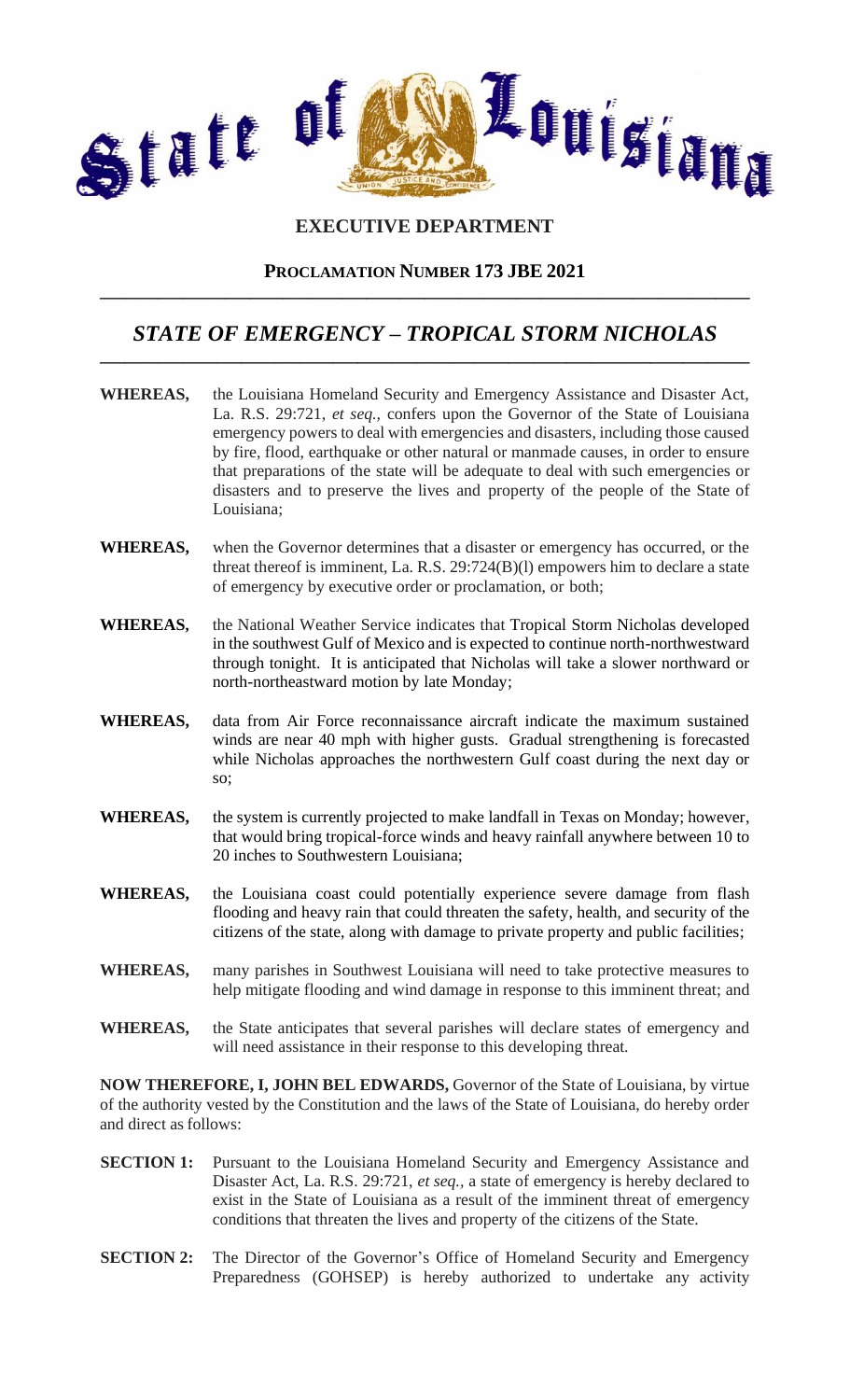

# **EXECUTIVE DEPARTMENT**

## **PROCLAMATION NUMBER 173 JBE 2021 \_\_\_\_\_\_\_\_\_\_\_\_\_\_\_\_\_\_\_\_\_\_\_\_\_\_\_\_\_\_\_\_\_\_\_\_\_\_\_\_\_\_\_\_\_\_\_\_\_\_\_\_\_\_\_\_\_\_\_\_\_\_\_\_\_\_\_\_\_\_\_\_\_\_\_\_\_\_**

## *STATE OF EMERGENCY – TROPICAL STORM NICHOLAS* **\_\_\_\_\_\_\_\_\_\_\_\_\_\_\_\_\_\_\_\_\_\_\_\_\_\_\_\_\_\_\_\_\_\_\_\_\_\_\_\_\_\_\_\_\_\_\_\_\_\_\_\_\_\_\_\_\_\_\_\_\_\_\_\_\_\_\_\_\_\_\_\_\_\_\_\_\_\_**

- **WHEREAS,** the Louisiana Homeland Security and Emergency Assistance and Disaster Act, La. R.S. 29:721, *et seq.,* confers upon the Governor of the State of Louisiana emergency powers to deal with emergencies and disasters, including those caused by fire, flood, earthquake or other natural or manmade causes, in order to ensure that preparations of the state will be adequate to deal with such emergencies or disasters and to preserve the lives and property of the people of the State of Louisiana;
- **WHEREAS,** when the Governor determines that a disaster or emergency has occurred, or the threat thereof is imminent, La. R.S. 29:724(B)(l) empowers him to declare a state of emergency by executive order or proclamation, or both;
- **WHEREAS,** the National Weather Service indicates that Tropical Storm Nicholas developed in the southwest Gulf of Mexico and is expected to continue north-northwestward through tonight. It is anticipated that Nicholas will take a slower northward or north-northeastward motion by late Monday;
- **WHEREAS,** data from Air Force reconnaissance aircraft indicate the maximum sustained winds are near 40 mph with higher gusts. Gradual strengthening is forecasted while Nicholas approaches the northwestern Gulf coast during the next day or so;
- **WHEREAS,** the system is currently projected to make landfall in Texas on Monday; however, that would bring tropical-force winds and heavy rainfall anywhere between 10 to 20 inches to Southwestern Louisiana;
- **WHEREAS,** the Louisiana coast could potentially experience severe damage from flash flooding and heavy rain that could threaten the safety, health, and security of the citizens of the state, along with damage to private property and public facilities;
- **WHEREAS,** many parishes in Southwest Louisiana will need to take protective measures to help mitigate flooding and wind damage in response to this imminent threat; and
- **WHEREAS,** the State anticipates that several parishes will declare states of emergency and will need assistance in their response to this developing threat.

**NOW THEREFORE, I, JOHN BEL EDWARDS,** Governor of the State of Louisiana, by virtue of the authority vested by the Constitution and the laws of the State of Louisiana, do hereby order and direct as follows:

- **SECTION 1:** Pursuant to the Louisiana Homeland Security and Emergency Assistance and Disaster Act, La. R.S. 29:721, *et seq.,* a state of emergency is hereby declared to exist in the State of Louisiana as a result of the imminent threat of emergency conditions that threaten the lives and property of the citizens of the State.
- **SECTION 2:** The Director of the Governor's Office of Homeland Security and Emergency Preparedness (GOHSEP) is hereby authorized to undertake any activity